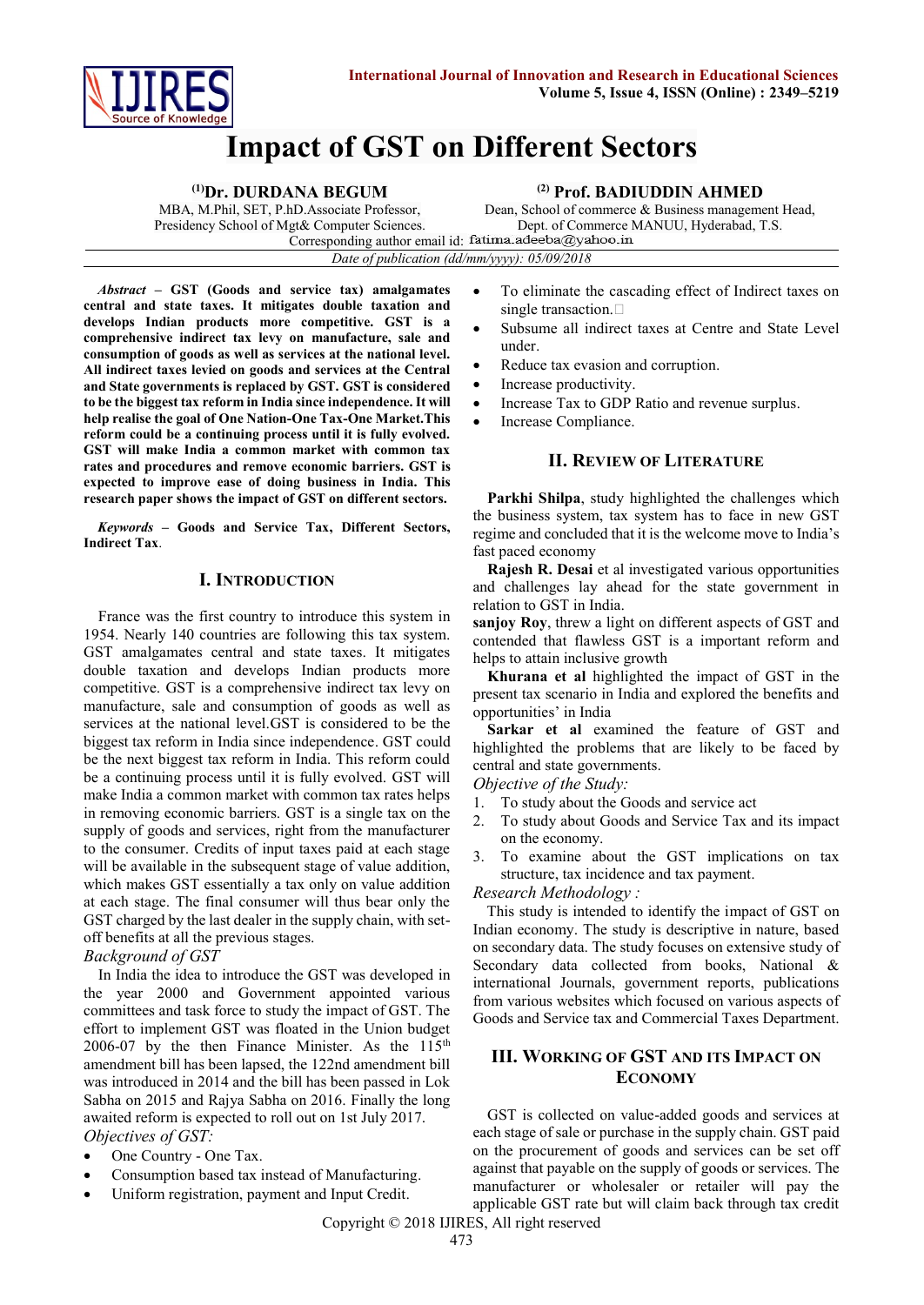

# **Impact of GST on Different Sectors**

| <sup>(1)</sup> Dr. DURDANA BEGUM                      | $(2)$ Prof. BADIUDDIN AHMED                          |
|-------------------------------------------------------|------------------------------------------------------|
| MBA, M.Phil, SET, P.hD.Associate Professor,           | Dean, School of commerce & Business management Head, |
| Presidency School of Mgt& Computer Sciences.          | Dept. of Commerce MANUU, Hyderabad, T.S.             |
| Corresponding author email id: fatima.adeeba@yahoo.in |                                                      |
| Date of publication (dd/mm/yyyy): $05/09/2018$        |                                                      |

*Abstract –* **GST (Goods and service tax) amalgamates central and state taxes. It mitigates double taxation and develops Indian products more competitive. GST is a comprehensive indirect tax levy on manufacture, sale and consumption of goods as well as services at the national level. All indirect taxes levied on goods and services at the Central and State governments is replaced by GST. GST is considered to be the biggest tax reform in India since independence. It will help realise the goal of One Nation-One Tax-One Market.This reform could be a continuing process until it is fully evolved. GST will make India a common market with common tax rates and procedures and remove economic barriers. GST is expected to improve ease of doing business in India. This research paper shows the impact of GST on different sectors.**

*Keywords* **– Goods and Service Tax, Different Sectors, Indirect Tax**.

# **I. INTRODUCTION**

France was the first country to introduce this system in 1954. Nearly 140 countries are following this tax system. GST amalgamates central and state taxes. It mitigates double taxation and develops Indian products more competitive. GST is a comprehensive indirect tax levy on manufacture, sale and consumption of goods as well as services at the national level.GST is considered to be the biggest tax reform in India since independence. GST could be the next biggest tax reform in India. This reform could be a continuing process until it is fully evolved. GST will make India a common market with common tax rates helps in removing economic barriers. GST is a single tax on the supply of goods and services, right from the manufacturer to the consumer. Credits of input taxes paid at each stage will be available in the subsequent stage of value addition, which makes GST essentially a tax only on value addition at each stage. The final consumer will thus bear only the GST charged by the last dealer in the supply chain, with setoff benefits at all the previous stages.

# *Background of GST*

In India the idea to introduce the GST was developed in the year 2000 and Government appointed various committees and task force to study the impact of GST. The effort to implement GST was floated in the Union budget  $2006-07$  by the then Finance Minister. As the 115<sup>th</sup> amendment bill has been lapsed, the 122nd amendment bill was introduced in 2014 and the bill has been passed in Lok Sabha on 2015 and Rajya Sabha on 2016. Finally the long awaited reform is expected to roll out on 1st July 2017. *Objectives of GST:*

- One Country One Tax.
- Consumption based tax instead of Manufacturing.
- Uniform registration, payment and Input Credit.
- To eliminate the cascading effect of Indirect taxes on single transaction.
- Subsume all indirect taxes at Centre and State Level under.
- Reduce tax evasion and corruption.
- Increase productivity.
- Increase Tax to GDP Ratio and revenue surplus.
- Increase Compliance.

# **II. REVIEW OF LITERATURE**

**Parkhi Shilpa**, study highlighted the challenges which the business system, tax system has to face in new GST regime and concluded that it is the welcome move to India's fast paced economy

**Rajesh R. Desai** et al investigated various opportunities and challenges lay ahead for the state government in relation to GST in India.

**sanjoy Roy**, threw a light on different aspects of GST and contended that flawless GST is a important reform and helps to attain inclusive growth

**Khurana et al** highlighted the impact of GST in the present tax scenario in India and explored the benefits and opportunities' in India

**Sarkar et al** examined the feature of GST and highlighted the problems that are likely to be faced by central and state governments.

*Objective of the Study:*

- 1. To study about the Goods and service act
- 2. To study about Goods and Service Tax and its impact on the economy.
- 3. To examine about the GST implications on tax structure, tax incidence and tax payment.

*Research Methodology :*

This study is intended to identify the impact of GST on Indian economy. The study is descriptive in nature, based on secondary data. The study focuses on extensive study of Secondary data collected from books, National & international Journals, government reports, publications from various websites which focused on various aspects of Goods and Service tax and Commercial Taxes Department.

# **III. WORKING OF GST AND ITS IMPACT ON ECONOMY**

GST is collected on value-added goods and services at each stage of sale or purchase in the supply chain. GST paid on the procurement of goods and services can be set off against that payable on the supply of goods or services. The manufacturer or wholesaler or retailer will pay the applicable GST rate but will claim back through tax credit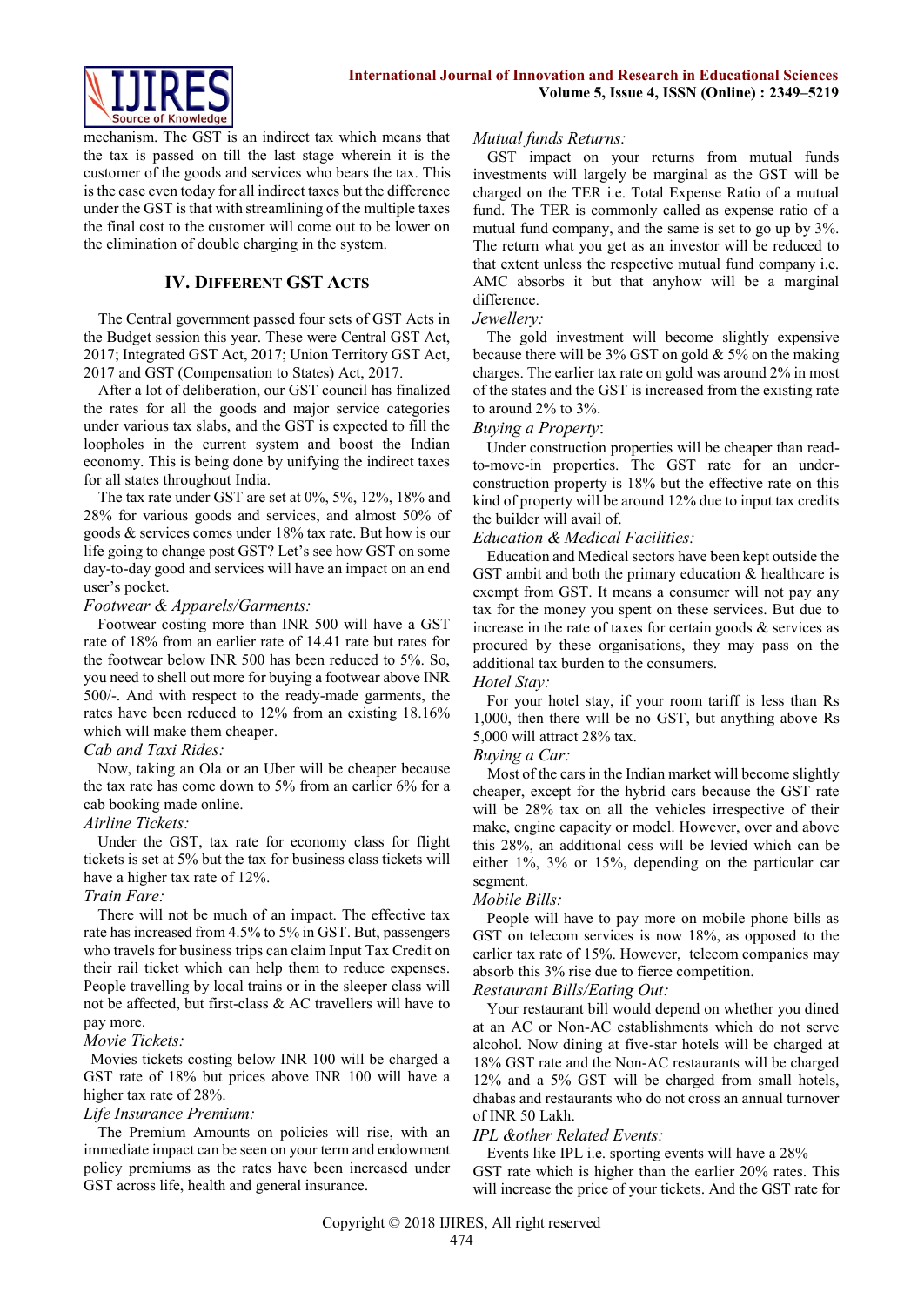

mechanism. The GST is an indirect tax which means that the tax is passed on till the last stage wherein it is the customer of the goods and services who bears the tax. This is the case even today for all indirect taxes but the difference under the GST is that with streamlining of the multiple taxes the final cost to the customer will come out to be lower on the elimination of double charging in the system.

# **IV. DIFFERENT GST ACTS**

The Central government passed four sets of GST Acts in the Budget session this year. These were Central GST Act, 2017; Integrated GST Act, 2017; Union Territory GST Act, 2017 and GST (Compensation to States) Act, 2017.

After a lot of deliberation, our GST council has finalized the rates for all the goods and major service categories under various tax slabs, and the GST is expected to fill the loopholes in the current system and boost the Indian economy. This is being done by unifying the indirect taxes for all states throughout India.

The tax rate under GST are set at 0%, 5%, 12%, 18% and 28% for various goods and services, and almost 50% of goods & services comes under 18% tax rate. But how is our life going to change post GST? Let's see how GST on some day-to-day good and services will have an impact on an end user's pocket.

## *Footwear & Apparels/Garments:*

Footwear costing more than INR 500 will have a GST rate of 18% from an earlier rate of 14.41 rate but rates for the footwear below INR 500 has been reduced to 5%. So, you need to shell out more for buying a footwear above INR 500/-. And with respect to the ready-made garments, the rates have been reduced to 12% from an existing 18.16% which will make them cheaper.

# *Cab and Taxi Rides:*

Now, taking an Ola or an Uber will be cheaper because the tax rate has come down to 5% from an earlier 6% for a cab booking made online.

# *Airline Tickets:*

Under the GST, tax rate for economy class for flight tickets is set at 5% but the tax for business class tickets will have a higher tax rate of 12%.

# *Train Fare:*

There will not be much of an impact. The effective tax rate has increased from 4.5% to 5% in GST. But, passengers who travels for business trips can claim Input Tax Credit on their rail ticket which can help them to reduce expenses. People travelling by local trains or in the sleeper class will not be affected, but first-class & AC travellers will have to pay more.

# *Movie Tickets:*

Movies tickets costing below INR 100 will be charged a GST rate of 18% but prices above INR 100 will have a higher tax rate of 28%.

# *Life Insurance Premium:*

The Premium Amounts on policies will rise, with an immediate impact can be seen on your term and endowment policy premiums as the rates have been increased under GST across life, health and general insurance.

#### *Mutual funds Returns:*

GST impact on your returns from mutual funds investments will largely be marginal as the GST will be charged on the TER i.e. Total Expense Ratio of a mutual fund. The TER is commonly called as expense ratio of a mutual fund company, and the same is set to go up by 3%. The return what you get as an investor will be reduced to that extent unless the respective mutual fund company i.e. AMC absorbs it but that anyhow will be a marginal difference.

#### *Jewellery:*

The gold investment will become slightly expensive because there will be 3% GST on gold & 5% on the making charges. The earlier tax rate on gold was around 2% in most of the states and the GST is increased from the existing rate to around 2% to 3%.

## *Buying a Property*:

Under construction properties will be cheaper than readto-move-in properties. The GST rate for an underconstruction property is 18% but the effective rate on this kind of property will be around 12% due to input tax credits the builder will avail of.

#### *Education & Medical Facilities:*

Education and Medical sectors have been kept outside the GST ambit and both the primary education & healthcare is exempt from GST. It means a consumer will not pay any tax for the money you spent on these services. But due to increase in the rate of taxes for certain goods  $\&$  services as procured by these organisations, they may pass on the additional tax burden to the consumers.

#### *Hotel Stay:*

For your hotel stay, if your room tariff is less than Rs 1,000, then there will be no GST, but anything above Rs 5,000 will attract 28% tax.

# *Buying a Car:*

Most of the cars in the Indian market will become slightly cheaper, except for the hybrid cars because the GST rate will be 28% tax on all the vehicles irrespective of their make, engine capacity or model. However, over and above this 28%, an additional cess will be levied which can be either 1%, 3% or 15%, depending on the particular car segment.

# *Mobile Bills:*

People will have to pay more on mobile phone bills as GST on telecom services is now 18%, as opposed to the earlier tax rate of 15%. However, telecom companies may absorb this 3% rise due to fierce competition.

#### *Restaurant Bills/Eating Out:*

Your restaurant bill would depend on whether you dined at an AC or Non-AC establishments which do not serve alcohol. Now dining at five-star hotels will be charged at 18% GST rate and the Non-AC restaurants will be charged 12% and a 5% GST will be charged from small hotels, dhabas and restaurants who do not cross an annual turnover of INR 50 Lakh.

# *IPL &other Related Events:*

Events like IPL i.e. sporting events will have a 28% GST rate which is higher than the earlier 20% rates. This will increase the price of your tickets. And the GST rate for